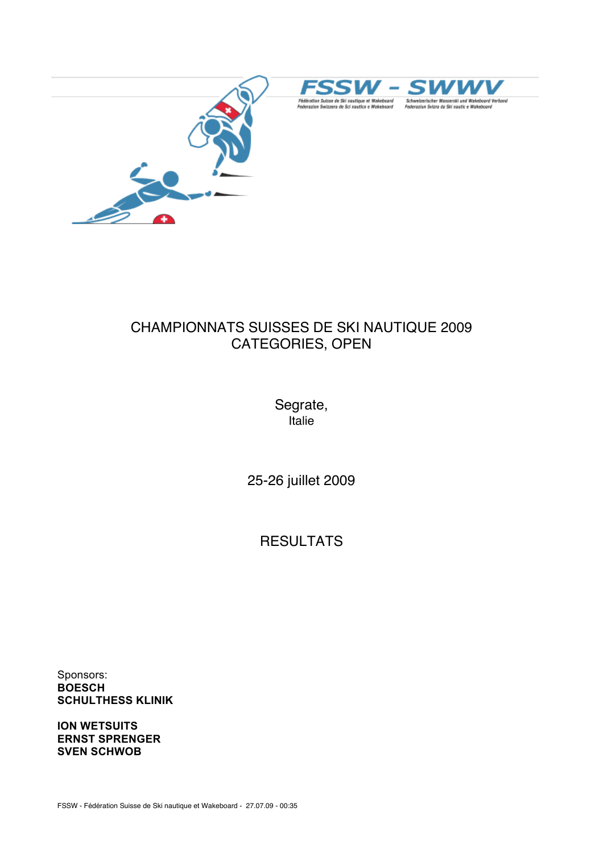





# CHAMPIONNATS SUISSES DE SKI NAUTIQUE 2009 CATEGORIES, OPEN

Segrate, Italie

25-26 juillet 2009

**RESULTATS** 

Sponsors: **BOESCH SCHULTHESS KLINIK**

**ION WETSUITS ERNST SPRENGER SVEN SCHWOB**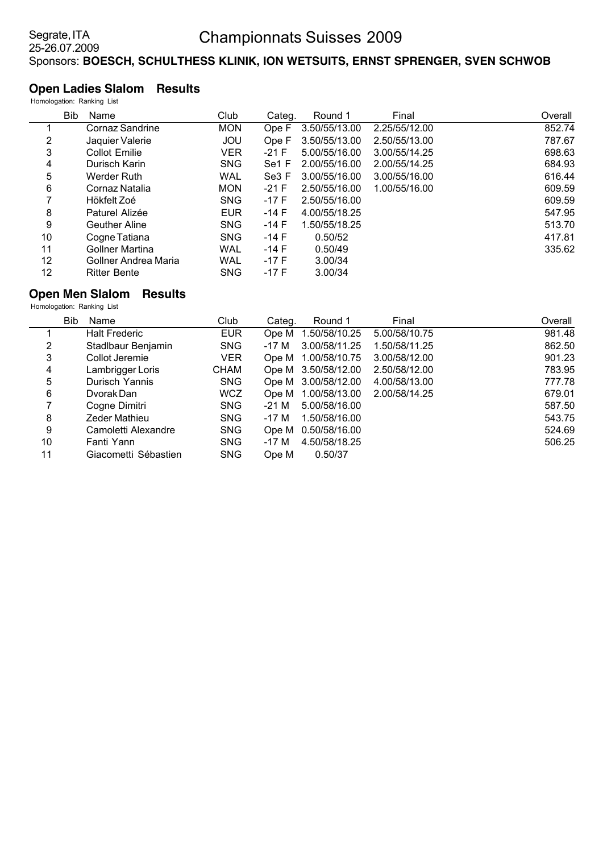#### **Open Ladies Slalom Results** Homologation: Ranking List

|    | rioniologation. Ranising List |                        |            |                   |               |               |         |
|----|-------------------------------|------------------------|------------|-------------------|---------------|---------------|---------|
|    | Bib                           | Name                   | Club       | Categ.            | Round 1       | Final         | Overall |
|    |                               | Cornaz Sandrine        | <b>MON</b> | Ope F             | 3.50/55/13.00 | 2.25/55/12.00 | 852.74  |
| 2  |                               | Jaquier Valerie        | <b>JOU</b> | Ope F             | 3.50/55/13.00 | 2.50/55/13.00 | 787.67  |
| 3  |                               | Collot Emilie          | <b>VER</b> | $-21$ F           | 5.00/55/16.00 | 3.00/55/14.25 | 698.63  |
| 4  |                               | Durisch Karin          | <b>SNG</b> | Se <sub>1</sub> F | 2.00/55/16.00 | 2.00/55/14.25 | 684.93  |
| 5  |                               | Werder Ruth            | <b>WAL</b> | Se3 F             | 3.00/55/16.00 | 3.00/55/16.00 | 616.44  |
| 6  |                               | Cornaz Natalia         | <b>MON</b> | $-21$ F           | 2.50/55/16.00 | 1.00/55/16.00 | 609.59  |
| 7  |                               | Hökfelt Zoé            | <b>SNG</b> | -17 F             | 2.50/55/16.00 |               | 609.59  |
| 8  |                               | Paturel Alizée         | <b>EUR</b> | $-14$ F           | 4.00/55/18.25 |               | 547.95  |
| 9  |                               | <b>Geuther Aline</b>   | <b>SNG</b> | $-14$ F           | 1.50/55/18.25 |               | 513.70  |
| 10 |                               | Cogne Tatiana          | <b>SNG</b> | -14 F             | 0.50/52       |               | 417.81  |
| 11 |                               | <b>Gollner Martina</b> | <b>WAL</b> | $-14$ F           | 0.50/49       |               | 335.62  |
| 12 |                               | Gollner Andrea Maria   | WAL        | -17 F             | 3.00/34       |               |         |
| 12 |                               | <b>Ritter Bente</b>    | <b>SNG</b> | $-17F$            | 3.00/34       |               |         |
|    |                               |                        |            |                   |               |               |         |

# **Open Men Slalom Results**

|    | <b>Bib</b><br>Name   | Club        | Categ. | Round 1             | Final         | Overall |
|----|----------------------|-------------|--------|---------------------|---------------|---------|
|    | <b>Halt Frederic</b> | <b>EUR</b>  | Ope M  | 1.50/58/10.25       | 5.00/58/10.75 | 981.48  |
| 2  | Stadlbaur Benjamin   | <b>SNG</b>  | -17 M  | 3.00/58/11.25       | 1.50/58/11.25 | 862.50  |
| 3  | Collot Jeremie       | <b>VER</b>  |        | Ope M 1.00/58/10.75 | 3.00/58/12.00 | 901.23  |
| 4  | Lambrigger Loris     | <b>CHAM</b> |        | Ope M 3.50/58/12.00 | 2.50/58/12.00 | 783.95  |
| 5  | Durisch Yannis       | <b>SNG</b>  |        | Ope M 3.00/58/12.00 | 4.00/58/13.00 | 777.78  |
| 6  | Dyorak Dan           | <b>WCZ</b>  |        | Ope M 1.00/58/13.00 | 2.00/58/14.25 | 679.01  |
| 7  | Cogne Dimitri        | <b>SNG</b>  | -21 M  | 5.00/58/16.00       |               | 587.50  |
| 8  | Zeder Mathieu        | <b>SNG</b>  | -17 M  | 1.50/58/16.00       |               | 543.75  |
| 9  | Camoletti Alexandre  | <b>SNG</b>  |        | Ope M 0.50/58/16.00 |               | 524.69  |
| 10 | Fanti Yann           | <b>SNG</b>  | -17 M  | 4.50/58/18.25       |               | 506.25  |
| 11 | Giacometti Sébastien | <b>SNG</b>  | Ope M  | 0.50/37             |               |         |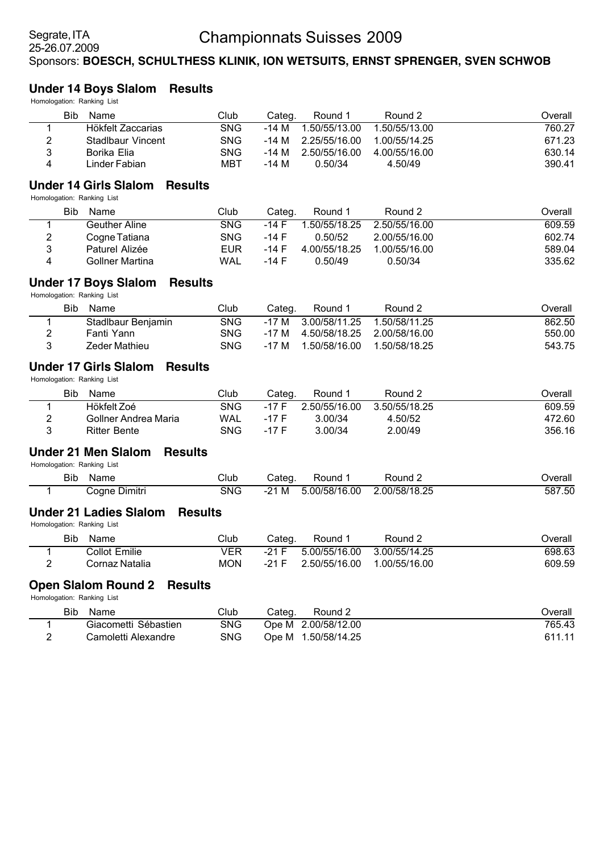#### **Under 14 Boys Slalom Results**

Homologation: Ranking List

|   | Bib | Name              | Club       | Categ. | Round 1       | Round 2       | Overall |
|---|-----|-------------------|------------|--------|---------------|---------------|---------|
|   |     | Hökfelt Zaccarias | <b>SNG</b> | -14 M  | 1.50/55/13.00 | 1.50/55/13.00 | 760.27  |
| 2 |     | Stadlbaur Vincent | <b>SNG</b> | -14 M  | 2.25/55/16.00 | 1.00/55/14.25 | 671.23  |
| 3 |     | Borika Elia       | <b>SNG</b> | -14 M  | 2.50/55/16.00 | 4.00/55/16.00 | 630.14  |
| 4 |     | Linder Fabian     | MBT        | -14 M  | 0.50/34       | 4.50/49       | 390.41  |

### **Under 14 Girls Slalom Results**

Homologation: Ranking List

|   | Bib | Name                   | Club       | Cateɑ. | Round 1       | Round 2       | Overall |
|---|-----|------------------------|------------|--------|---------------|---------------|---------|
|   |     | <b>Geuther Aline</b>   | <b>SNG</b> | -14 F  | 1.50/55/18.25 | 2.50/55/16.00 | 609.59  |
| 2 |     | Cogne Tatiana          | SNG        | -14 F  | 0.50/52       | 2.00/55/16.00 | 602.74  |
| 3 |     | Paturel Alizée         | EUR        | -14 F  | 4.00/55/18.25 | 1.00/55/16.00 | 589.04  |
| 4 |     | <b>Gollner Martina</b> | <b>WAL</b> | -14 F  | 0.50/49       | 0.50/34       | 335.62  |

### **Under 17 Boys Slalom Results**

Homologation: Ranking List

|   | Bib<br>Name        | Club       | Cateɑ. | Round 1                     | Round 2       | ⊃verall |
|---|--------------------|------------|--------|-----------------------------|---------------|---------|
|   | Stadlbaur Benjamin | SNG        |        | -17 M 3.00/58/11.25         | 1.50/58/11.25 | 862.50  |
|   | Fanti Yann         | <b>SNG</b> | -17 M  | 4.50/58/18.25 2.00/58/16.00 |               | 550.00  |
| 3 | Zeder Mathieu      | SNG        | -17 M  |                             |               | 543.75  |

### **Under 17 Girls Slalom Results**

Homologation: Ranking List

|   | Bib | Name                 | Club       | Cateɑ.  | Round 1       | Round 2       | Dverall |
|---|-----|----------------------|------------|---------|---------------|---------------|---------|
|   |     | Hökfelt Zoé          | SNG        | -17 F   | 2.50/55/16.00 | 3.50/55/18.25 | 609.59  |
| っ |     | Gollner Andrea Maria | <b>WAL</b> | $-17$ F | 3.00/34       | 4.50/52       | 472.60  |
|   |     | <b>Ritter Bente</b>  | <b>SNG</b> | -17 F   | 3.00/34       | 2.00/49       | 356.16  |

#### **Under 21 Men Slalom Results**

Homologation: Ranking List

| Bib | Name                    | Club | Cated      | Round        | $\sim$ Round $\sim$ | Overall |
|-----|-------------------------|------|------------|--------------|---------------------|---------|
|     | . .<br>Coane<br>Dimitri | SNG  | M<br>$-21$ | .00/58/16.00 | .00/58/18.25        | 587.50  |

## **Under 21 Ladies Slalom Results**

Homologation: Ranking List

|   | <b>Bib</b> | <b>Name</b>    | Club       | Cateɑ. | Round 1       | Round 2       | Dverall |
|---|------------|----------------|------------|--------|---------------|---------------|---------|
|   |            | Collot Emilie  | VER        | -21 F  | 5.00/55/16.00 | 3.00/55/14.25 | 698.63  |
| - |            | Cornaz Natalia | <b>MON</b> | -21 F  | 2.50/55/16.00 | 1.00/55/16.00 | 609.59  |

#### **Open Slalom Round 2 Results**

| Bib<br>Name          | Club | Cateɑ.<br>Round 2   | ⊃verall |
|----------------------|------|---------------------|---------|
| Giacometti Sébastien | SNG. | Ope M 2.00/58/12.00 | 765.43  |
| Camoletti Alexandre  | SNG  | Ope M 1.50/58/14.25 | 611.11  |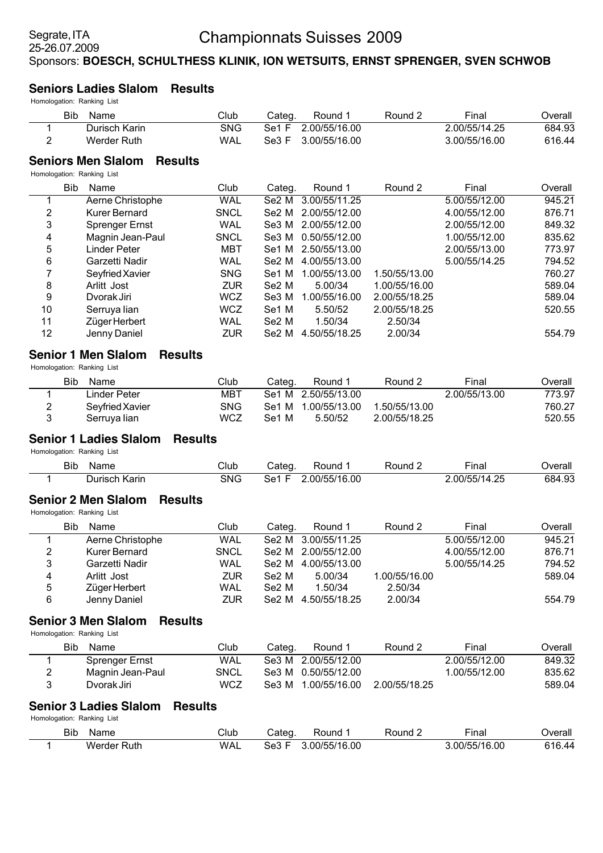#### **Seniors Ladies Slalom Results**

Homologation: Ranking List

| Bib<br>Name        | Club      | Cateɑ.            | Round 1       | Round 2 | Final         | Overall |
|--------------------|-----------|-------------------|---------------|---------|---------------|---------|
| Durisch Karin      | SNG       | Se <sub>1</sub> F | 2.00/55/16.00 |         | 2.00/55/14.25 | 684.93  |
| Werder Ruth        | WAL       | Se3 F             | 3.00/55/16.00 |         | 3.00/55/16.00 | 616.44  |
| Saniore Man Slalom | - Reculte |                   |               |         |               |         |

#### **Seniors Men Slalom Results**

Homologation: Ranking List

|    | Bib<br>Name           | Club        | Categ.            | Round 1             | Round 2       | Final         | Overall |
|----|-----------------------|-------------|-------------------|---------------------|---------------|---------------|---------|
|    | Aerne Christophe      | <b>WAL</b>  | Se2 M             | 3.00/55/11.25       |               | 5.00/55/12.00 | 945.21  |
| 2  | Kurer Bernard         | <b>SNCL</b> |                   | Se2 M 2.00/55/12.00 |               | 4.00/55/12.00 | 876.71  |
| 3  | <b>Sprenger Ernst</b> | WAL         |                   | Se3 M 2.00/55/12.00 |               | 2.00/55/12.00 | 849.32  |
| 4  | Magnin Jean-Paul      | <b>SNCL</b> |                   | Se3 M 0.50/55/12.00 |               | 1.00/55/12.00 | 835.62  |
| 5  | Linder Peter          | MBT         |                   | Se1 M 2.50/55/13.00 |               | 2.00/55/13.00 | 773.97  |
| 6  | Garzetti Nadir        | <b>WAL</b>  | Se2 M             | 4.00/55/13.00       |               | 5.00/55/14.25 | 794.52  |
| 7  | Seyfried Xavier       | <b>SNG</b>  | Se1 M             | 1.00/55/13.00       | 1.50/55/13.00 |               | 760.27  |
| 8  | Arlitt Jost           | <b>ZUR</b>  | Se <sub>2</sub> M | 5.00/34             | 1.00/55/16.00 |               | 589.04  |
| 9  | Dvorak Jiri           | <b>WCZ</b>  | Se3 M             | 1.00/55/16.00       | 2.00/55/18.25 |               | 589.04  |
| 10 | Serruya lian          | <b>WCZ</b>  | Se1 M             | 5.50/52             | 2.00/55/18.25 |               | 520.55  |
| 11 | Züger Herbert         | WAL         | Se <sub>2</sub> M | 1.50/34             | 2.50/34       |               |         |
| 12 | Jenny Daniel          | <b>ZUR</b>  | Se2 M             | 4.50/55/18.25       | 2.00/34       |               | 554.79  |

#### **Senior 1 Men Slalom Results**

Homologation: Ranking List

|               | Bib<br>Name     | Club       | Cateɑ.            | Round 1             | Round 2       | Final         | つverall |
|---------------|-----------------|------------|-------------------|---------------------|---------------|---------------|---------|
|               | Linder Peter    | мвт        |                   | Se1 M 2.50/55/13.00 |               | 2.00/55/13.00 | 773.97  |
| $\mathcal{P}$ | Sevfried Xavier | <b>SNG</b> |                   | Se1 M 1.00/55/13.00 | 1.50/55/13.00 |               | 760.27  |
|               | Serruva lian    | WCZ        | Se <sub>1</sub> M | 5.50/52             | 2.00/55/18.25 |               | 520.55  |

### **Senior 1 Ladies Slalom Results**

Homologation: Ranking List

| Bib | Name             | Club | Cateɑ | Round        | Round | ∙ınal                | ⊃verall |
|-----|------------------|------|-------|--------------|-------|----------------------|---------|
|     | Karin<br>⊃urısch | SNG  | se"   | .00/55/16.00 |       | 1 つに<br>.00/55/14.25 | 684.93  |

### **Senior 2 Men Slalom Results**

Homologation: Ranking List

|   | Bib<br>Name      | Club        | Categ.            | Round 1             | Round 2       | Final         | Overall |
|---|------------------|-------------|-------------------|---------------------|---------------|---------------|---------|
|   | Aerne Christophe | <b>WAL</b>  |                   | Se2 M 3.00/55/11.25 |               | 5.00/55/12.00 | 945.21  |
| 2 | Kurer Bernard    | <b>SNCL</b> |                   | Se2 M 2.00/55/12.00 |               | 4.00/55/12.00 | 876.71  |
| 3 | Garzetti Nadir   | <b>WAL</b>  | Se2 M             | 4.00/55/13.00       |               | 5.00/55/14.25 | 794.52  |
| 4 | Arlitt Jost      | <b>ZUR</b>  | Se2 M             | 5.00/34             | 1.00/55/16.00 |               | 589.04  |
| 5 | Züger Herbert    | WAL         | Se <sub>2</sub> M | 1.50/34             | 2.50/34       |               |         |
| 6 | Jenny Daniel     | <b>ZUR</b>  | Se <sub>2</sub> M | 4.50/55/18.25       | 2.00/34       |               | 554.79  |

#### **Senior 3 Men Slalom Results**

Homologation: Ranking List

| Bib<br>Name      | Club       | Cateɑ. | Round 1             | Round 2       | Final         | ⊃verall |
|------------------|------------|--------|---------------------|---------------|---------------|---------|
| Sprenger Ernst   | <b>WAL</b> |        | Se3 M 2.00/55/12.00 |               | 2.00/55/12.00 | 849.32  |
| Magnin Jean-Paul | SNCL       |        | Se3 M 0.50/55/12.00 |               | 1.00/55/12.00 | 835.62  |
| Dvorak Jiri      | WCZ        |        | Se3 M 1.00/55/16.00 | 2.00/55/18.25 |               | 589.04  |

### **Senior 3 Ladies Slalom Results**

| Bit<br>__ | $m -$<br>Name  | Club | تateg      | Round             | Round | $- \cdot$<br>∙ınal | ⊃verall           |
|-----------|----------------|------|------------|-------------------|-------|--------------------|-------------------|
|           | Werder<br>Ruth | WAL  | - 2<br>טסע | 0/55/16.00<br>יטט |       | 00/55/16.00        | 31 Q<br>. 40<br>L |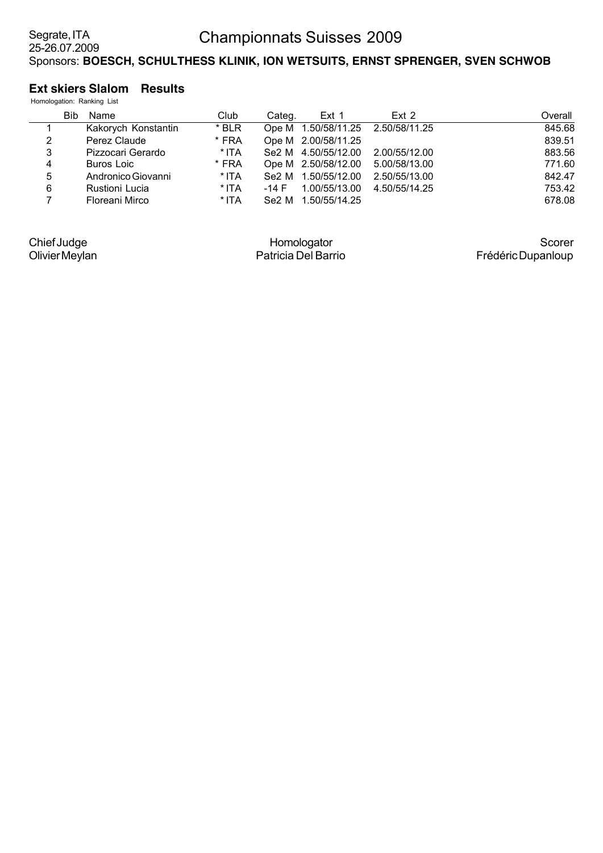### **Ext skiers Slalom Results**

|   |            | Homologation: Ranking List |       |        |                     |               |         |
|---|------------|----------------------------|-------|--------|---------------------|---------------|---------|
|   | <b>Bib</b> | Name                       | Club  | Categ. | Ext 1               | Ext 2         | Overall |
|   |            | Kakorych Konstantin        | * BLR |        | Ope M 1.50/58/11.25 | 2.50/58/11.25 | 845.68  |
| 2 |            | Perez Claude               | * FRA |        | Ope M 2.00/58/11.25 |               | 839.51  |
| 3 |            | Pizzocari Gerardo          | * ITA |        | Se2 M 4.50/55/12.00 | 2.00/55/12.00 | 883.56  |
| 4 |            | Buros Loic                 | * FRA |        | Ope M 2.50/58/12.00 | 5.00/58/13.00 | 771.60  |
| 5 |            | Andronico Giovanni         | * ITA | Se2 M  | 1.50/55/12.00       | 2.50/55/13.00 | 842.47  |
| 6 |            | <b>Rustioni Lucia</b>      | * ITA | -14 F  | 1.00/55/13.00       | 4.50/55/14.25 | 753.42  |
|   |            | Floreani Mirco             | * ITA | Se2 M  | 1.50/55/14.25       |               | 678.08  |
|   |            |                            |       |        |                     |               |         |

Chief Judge Olivier Meylan

Homologator Patricia Del Barrio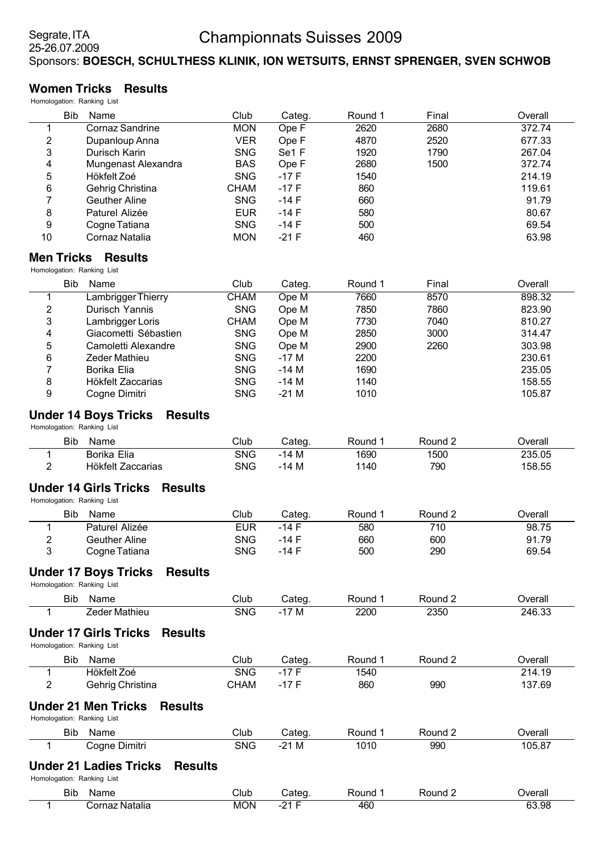# **Women Tricks Results**

| Homologation: Ranking List |                                                 |             |         |         |         |         |
|----------------------------|-------------------------------------------------|-------------|---------|---------|---------|---------|
| <b>Bib</b>                 | Name                                            | Club        | Categ.  | Round 1 | Final   | Overall |
| 1                          | <b>Cornaz Sandrine</b>                          | <b>MON</b>  | Ope F   | 2620    | 2680    | 372.74  |
| $\overline{\mathbf{c}}$    | Dupanloup Anna                                  | <b>VER</b>  | Ope F   | 4870    | 2520    | 677.33  |
| 3                          | Durisch Karin                                   | <b>SNG</b>  | Se1 F   | 1920    | 1790    | 267.04  |
| 4                          | Mungenast Alexandra                             | <b>BAS</b>  | Ope F   | 2680    | 1500    | 372.74  |
| 5                          | Hökfelt Zoé                                     | <b>SNG</b>  | $-17F$  | 1540    |         | 214.19  |
| 6                          | Gehrig Christina                                | <b>CHAM</b> | $-17F$  | 860     |         | 119.61  |
| 7                          | <b>Geuther Aline</b>                            | <b>SNG</b>  | $-14F$  | 660     |         | 91.79   |
| 8                          | Paturel Alizée                                  | <b>EUR</b>  | $-14F$  | 580     |         | 80.67   |
| 9                          | Cogne Tatiana                                   | <b>SNG</b>  | $-14F$  | 500     |         | 69.54   |
| 10                         | Cornaz Natalia                                  | <b>MON</b>  | $-21F$  | 460     |         | 63.98   |
| <b>Men Tricks</b>          | <b>Results</b>                                  |             |         |         |         |         |
| Homologation: Ranking List |                                                 |             |         |         |         |         |
| <b>Bib</b>                 | Name                                            | Club        | Categ.  | Round 1 | Final   | Overall |
| 1                          | <b>Lambrigger Thierry</b>                       | <b>CHAM</b> | Ope M   | 7660    | 8570    | 898.32  |
| 2                          | Durisch Yannis                                  | <b>SNG</b>  | Ope M   | 7850    | 7860    | 823.90  |
| 3                          | Lambrigger Loris                                | <b>CHAM</b> | Ope M   | 7730    | 7040    | 810.27  |
| 4                          | Giacometti Sébastien                            | <b>SNG</b>  | Ope M   | 2850    | 3000    | 314.47  |
| 5                          | Camoletti Alexandre                             | <b>SNG</b>  | Ope M   | 2900    | 2260    | 303.98  |
| 6                          | Zeder Mathieu                                   | <b>SNG</b>  | $-17M$  | 2200    |         | 230.61  |
| 7                          | Borika Elia                                     | <b>SNG</b>  | $-14M$  | 1690    |         | 235.05  |
| 8                          | Hökfelt Zaccarias                               | <b>SNG</b>  | $-14M$  | 1140    |         | 158.55  |
| 9                          | Cogne Dimitri                                   | <b>SNG</b>  | $-21M$  | 1010    |         | 105.87  |
| Homologation: Ranking List | <b>Under 14 Boys Tricks</b><br><b>Results</b>   |             |         |         |         |         |
| <b>Bib</b>                 | Name                                            | Club        | Categ.  | Round 1 | Round 2 | Overall |
| $\mathbf 1$                | <b>Borika Elia</b>                              | <b>SNG</b>  | $-14M$  | 1690    | 1500    | 235.05  |
| 2                          | Hökfelt Zaccarias                               | <b>SNG</b>  | $-14$ M | 1140    | 790     | 158.55  |
| Homologation: Ranking List | <b>Under 14 Girls Tricks</b><br><b>Results</b>  |             |         |         |         |         |
| <b>Bib</b>                 | Name                                            | Club        | Categ.  | Round 1 | Round 2 | Overall |
| 1                          | Paturel Alizée                                  | <b>EUR</b>  | $-14F$  | 580     | 710     | 98.75   |
| $\overline{2}$             | <b>Geuther Aline</b>                            | <b>SNG</b>  | $-14F$  | 660     | 600     | 91.79   |
| 3                          | Cogne Tatiana                                   | <b>SNG</b>  | -14 F   | 500     | 290     | 69.54   |
| Homologation: Ranking List | <b>Under 17 Boys Tricks</b><br><b>Results</b>   |             |         |         |         |         |
|                            |                                                 |             |         |         |         |         |
| <b>Bib</b>                 | Name                                            | Club        | Categ.  | Round 1 | Round 2 | Overall |
| 1                          | <b>Zeder Mathieu</b>                            | <b>SNG</b>  | $-17M$  | 2200    | 2350    | 246.33  |
| Homologation: Ranking List | <b>Under 17 Girls Tricks</b><br><b>Results</b>  |             |         |         |         |         |
| Bib                        | Name                                            | Club        | Categ.  | Round 1 | Round 2 | Overall |
| 1                          | Hökfelt Zoé                                     | <b>SNG</b>  | $-17F$  | 1540    |         | 214.19  |
| $\overline{c}$             | Gehrig Christina                                | <b>CHAM</b> | $-17F$  | 860     | 990     | 137.69  |
|                            |                                                 |             |         |         |         |         |
| Homologation: Ranking List | <b>Under 21 Men Tricks</b><br><b>Results</b>    |             |         |         |         |         |
| <b>Bib</b>                 | Name                                            | Club        | Categ.  | Round 1 | Round 2 | Overall |
| 1                          | Cogne Dimitri                                   | <b>SNG</b>  | $-21M$  | 1010    | 990     | 105.87  |
|                            | <b>Under 21 Ladies Tricks</b><br><b>Results</b> |             |         |         |         |         |
| Homologation: Ranking List |                                                 |             |         |         |         |         |
| Bib                        | Name                                            | Club        | Categ.  | Round 1 | Round 2 | Overall |
| 1                          | Cornaz Natalia                                  | <b>MON</b>  | $-21 F$ | 460     |         | 63.98   |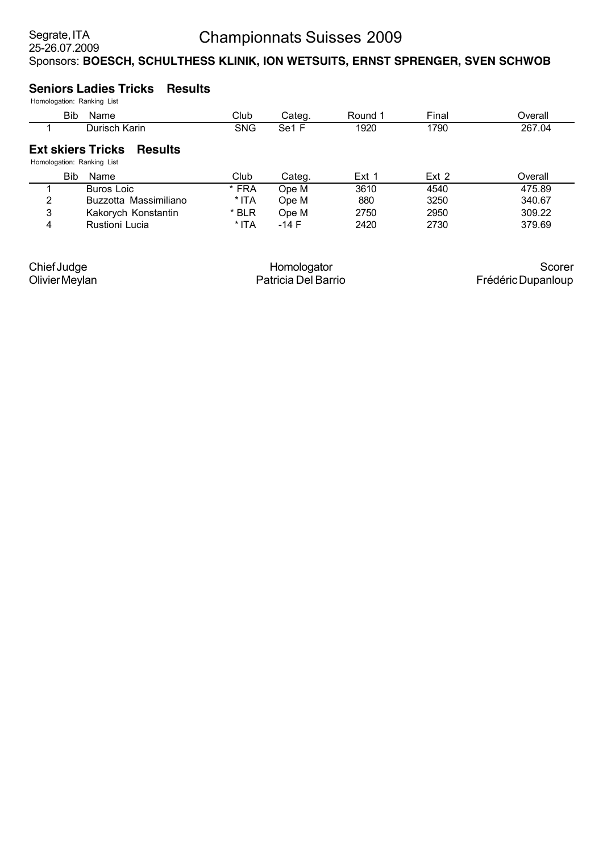# **Seniors Ladies Tricks Results**

|   | Bib.<br>Name                                                             | Club       | Categ.            | Round 1          | Final            | Overall |  |  |  |  |  |  |
|---|--------------------------------------------------------------------------|------------|-------------------|------------------|------------------|---------|--|--|--|--|--|--|
|   | Durisch Karin                                                            | <b>SNG</b> | Se <sub>1</sub> F | 1920             | 1790             | 267.04  |  |  |  |  |  |  |
|   | <b>Ext skiers Tricks</b><br><b>Results</b><br>Homologation: Ranking List |            |                   |                  |                  |         |  |  |  |  |  |  |
|   | <b>Bib</b><br>Name                                                       | Club       | Categ.            | Ext <sub>1</sub> | Ext <sub>2</sub> | Overall |  |  |  |  |  |  |
|   | Buros Loic                                                               | * FRA      | Ope M             | 3610             | 4540             | 475.89  |  |  |  |  |  |  |
| 2 | Buzzotta Massimiliano                                                    | * ITA      | Ope M             | 880              | 3250             | 340.67  |  |  |  |  |  |  |
| 3 | Kakorych Konstantin                                                      | * BLR      | Ope M             | 2750             | 2950             | 309.22  |  |  |  |  |  |  |
| 4 | Rustioni Lucia                                                           | * ITA      | $-14$ F           | 2420             | 2730             | 379.69  |  |  |  |  |  |  |

| Homologator         | Scorer             |
|---------------------|--------------------|
| Patricia Del Barrio | Frédéric Dupanloup |
|                     |                    |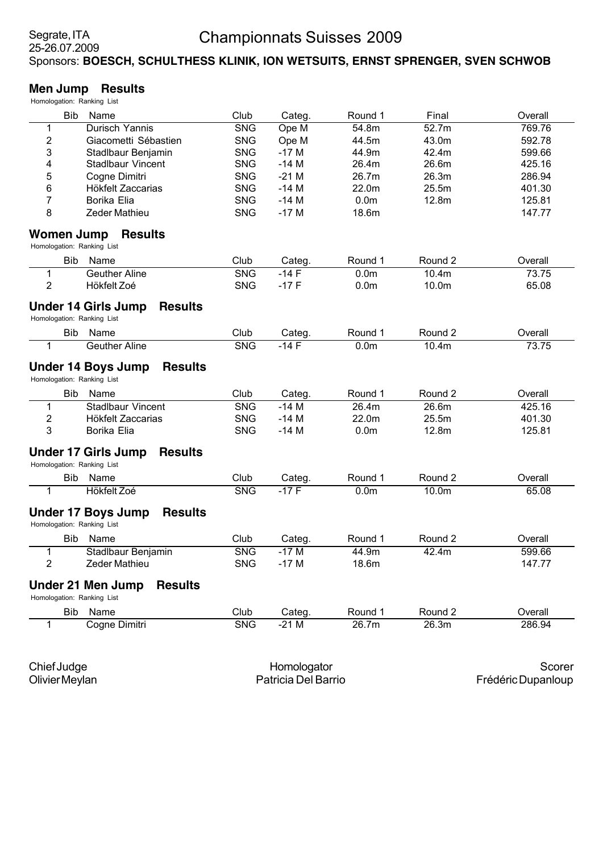#### **Men Jump Results**

| Homologation: Ranking List               |                                              |            |        |                  |                   |         |
|------------------------------------------|----------------------------------------------|------------|--------|------------------|-------------------|---------|
| <b>Bib</b>                               | Name                                         | Club       | Categ. | Round 1          | Final             | Overall |
| 1                                        | Durisch Yannis                               | <b>SNG</b> | Ope M  | 54.8m            | 52.7m             | 769.76  |
| 2                                        | Giacometti Sébastien                         | <b>SNG</b> | Ope M  | 44.5m            | 43.0m             | 592.78  |
| 3                                        | Stadlbaur Benjamin                           | <b>SNG</b> | $-17M$ | 44.9m            | 42.4m             | 599.66  |
| 4                                        | <b>Stadlbaur Vincent</b>                     | <b>SNG</b> | $-14M$ | 26.4m            | 26.6m             | 425.16  |
| 5                                        | Cogne Dimitri                                | <b>SNG</b> | $-21M$ | 26.7m            | 26.3m             | 286.94  |
| 6                                        | Hökfelt Zaccarias                            | <b>SNG</b> | $-14M$ | 22.0m            | 25.5m             | 401.30  |
| $\overline{7}$                           | Borika Elia                                  | <b>SNG</b> | $-14M$ | 0.0 <sub>m</sub> | 12.8m             | 125.81  |
| 8                                        | Zeder Mathieu                                | <b>SNG</b> | $-17M$ | 18.6m            |                   | 147.77  |
| Women Jump<br>Homologation: Ranking List | <b>Results</b>                               |            |        |                  |                   |         |
| <b>Bib</b>                               | Name                                         | Club       | Categ. | Round 1          | Round 2           | Overall |
| 1                                        | <b>Geuther Aline</b>                         | <b>SNG</b> | $-14F$ | 0.0 <sub>m</sub> | 10.4m             | 73.75   |
| $\overline{2}$                           | Hökfelt Zoé                                  | <b>SNG</b> | $-17F$ | 0.0 <sub>m</sub> | 10.0m             | 65.08   |
| Homologation: Ranking List               | <b>Under 14 Girls Jump</b><br><b>Results</b> |            |        |                  |                   |         |
| <b>Bib</b>                               | Name                                         | Club       | Categ. | Round 1          | Round 2           | Overall |
| 1                                        | <b>Geuther Aline</b>                         | <b>SNG</b> | $-14F$ | 0.0 <sub>m</sub> | 10.4m             | 73.75   |
| Homologation: Ranking List               | <b>Under 14 Boys Jump</b><br><b>Results</b>  |            |        |                  |                   |         |
| <b>Bib</b>                               | Name                                         | Club       | Categ. | Round 1          | Round 2           | Overall |
| 1                                        | <b>Stadlbaur Vincent</b>                     | <b>SNG</b> | $-14M$ | 26.4m            | 26.6m             | 425.16  |
| 2                                        | Hökfelt Zaccarias                            | <b>SNG</b> | $-14M$ | 22.0m            | 25.5m             | 401.30  |
| 3                                        | Borika Elia                                  | <b>SNG</b> | $-14M$ | 0.0 <sub>m</sub> | 12.8m             | 125.81  |
| Homologation: Ranking List               | <b>Under 17 Girls Jump</b><br><b>Results</b> |            |        |                  |                   |         |
| <b>Bib</b>                               | Name                                         | Club       | Categ. | Round 1          | Round 2           | Overall |
| 1                                        | Hökfelt Zoé                                  | <b>SNG</b> | $-17F$ | 0.0 <sub>m</sub> | 10.0 <sub>m</sub> | 65.08   |
| Homologation: Ranking List               | <b>Under 17 Boys Jump</b><br><b>Results</b>  |            |        |                  |                   |         |
| <b>Bib</b>                               | Name                                         | Club       | Categ. | Round 1          | Round 2           | Overall |
| 1                                        | Stadlbaur Benjamin                           | <b>SNG</b> | $-17M$ | 44.9m            | 42.4m             | 599.66  |
| 2                                        | Zeder Mathieu                                | <b>SNG</b> | $-17M$ | 18.6m            |                   | 147.77  |
| Homologation: Ranking List               | <b>Under 21 Men Jump</b><br><b>Results</b>   |            |        |                  |                   |         |
|                                          | Name                                         | Club       | Categ. | Round 1          | Round 2           | Overall |
| <b>Bib</b>                               |                                              |            |        |                  |                   |         |

Chief Judge Olivier Meylan

Homologator Patricia Del Barrio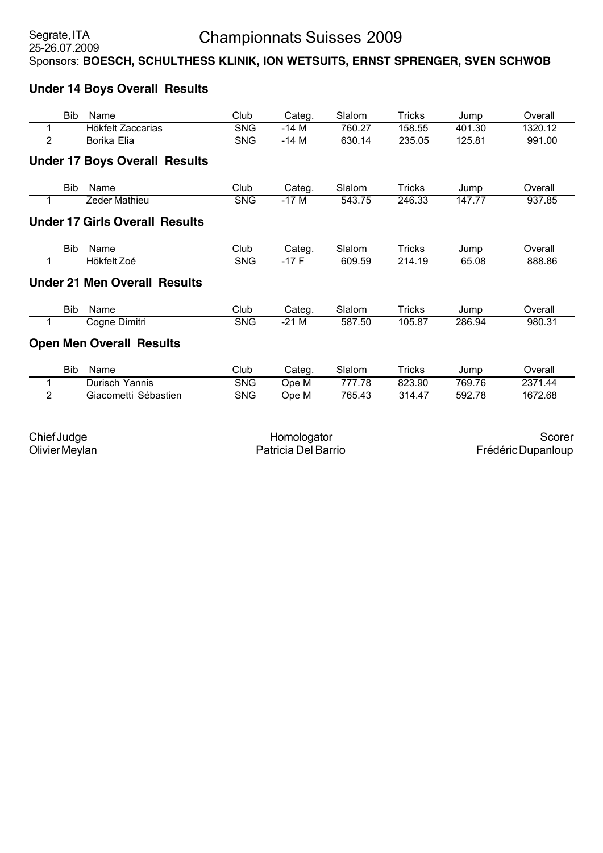# **Under 14 Boys Overall Results**

| Bib  | Name                                  | Club       | Categ. | Slalom | Tricks        | Jump   | Overall |
|------|---------------------------------------|------------|--------|--------|---------------|--------|---------|
|      | Hökfelt Zaccarias                     | <b>SNG</b> | $-14M$ | 760.27 | 158.55        | 401.30 | 1320.12 |
| 2    | Borika Elia                           | <b>SNG</b> | $-14M$ | 630.14 | 235.05        | 125.81 | 991.00  |
|      | <b>Under 17 Boys Overall Results</b>  |            |        |        |               |        |         |
| Bib  | Name                                  | Club       | Categ. | Slalom | Tricks        | Jump   | Overall |
|      | <b>Zeder Mathieu</b>                  | <b>SNG</b> | $-17M$ | 543.75 | 246.33        | 147.77 | 937.85  |
|      | <b>Under 17 Girls Overall Results</b> |            |        |        |               |        |         |
| Bib  | Name                                  | Club       | Categ. | Slalom | <b>Tricks</b> | Jump   | Overall |
|      | Hökfelt Zoé                           | <b>SNG</b> | $-17F$ | 609.59 | 214.19        | 65.08  | 888.86  |
|      | <b>Under 21 Men Overall Results</b>   |            |        |        |               |        |         |
| Bib. | Name                                  | Club       | Categ. | Slalom | Tricks        | Jump   | Overall |
|      | Cogne Dimitri                         | <b>SNG</b> | $-21M$ | 587.50 | 105.87        | 286.94 | 980.31  |
|      | <b>Open Men Overall Results</b>       |            |        |        |               |        |         |
| Bib  | Name                                  | Club       | Categ. | Slalom | Tricks        | Jump   | Overall |
|      | Durisch Yannis                        | <b>SNG</b> | Ope M  | 777.78 | 823.90        | 769.76 | 2371.44 |
| 2    | Giacometti Sébastien                  | <b>SNG</b> | Ope M  | 765.43 | 314.47        | 592.78 | 1672.68 |
|      |                                       |            |        |        |               |        |         |

Chief Judge Olivier Meylan

Homologator Patricia Del Barrio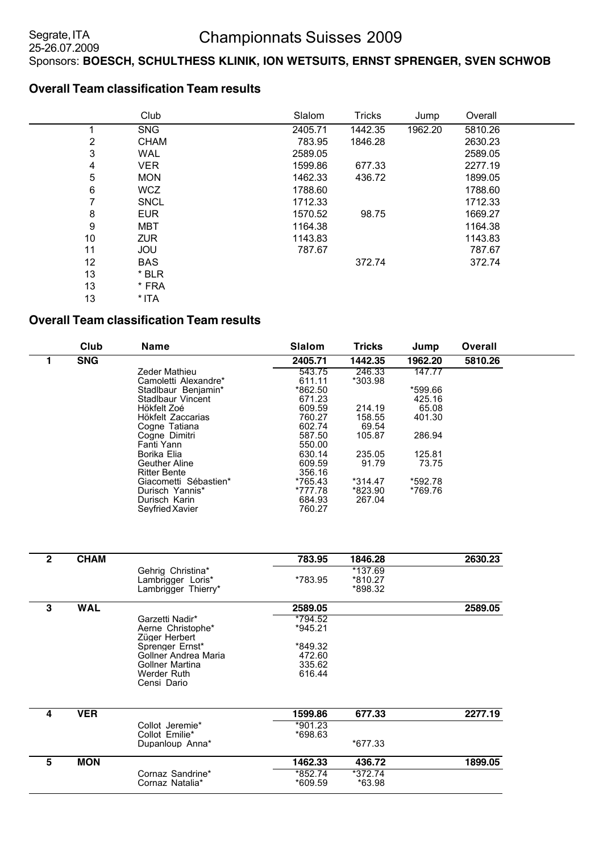### **Overall Team classification Team results**

|    | Club        | Slalom  | <b>Tricks</b> | Jump    | Overall |  |
|----|-------------|---------|---------------|---------|---------|--|
|    | <b>SNG</b>  | 2405.71 | 1442.35       | 1962.20 | 5810.26 |  |
| 2  | <b>CHAM</b> | 783.95  | 1846.28       |         | 2630.23 |  |
| 3  | <b>WAL</b>  | 2589.05 |               |         | 2589.05 |  |
| 4  | <b>VER</b>  | 1599.86 | 677.33        |         | 2277.19 |  |
| 5  | <b>MON</b>  | 1462.33 | 436.72        |         | 1899.05 |  |
| 6  | <b>WCZ</b>  | 1788.60 |               |         | 1788.60 |  |
| 7  | <b>SNCL</b> | 1712.33 |               |         | 1712.33 |  |
| 8  | <b>EUR</b>  | 1570.52 | 98.75         |         | 1669.27 |  |
| 9  | MBT         | 1164.38 |               |         | 1164.38 |  |
| 10 | <b>ZUR</b>  | 1143.83 |               |         | 1143.83 |  |
| 11 | <b>JOU</b>  | 787.67  |               |         | 787.67  |  |
| 12 | <b>BAS</b>  |         | 372.74        |         | 372.74  |  |
| 13 | * BLR       |         |               |         |         |  |
| 13 | * FRA       |         |               |         |         |  |
| 13 | * ITA       |         |               |         |         |  |

### **Overall Team classification Team results**

| Club       | <b>Name</b>           | <b>Slalom</b> | <b>Tricks</b> | Jump    | <b>Overall</b> |  |
|------------|-----------------------|---------------|---------------|---------|----------------|--|
| <b>SNG</b> |                       | 2405.71       | 1442.35       | 1962.20 | 5810.26        |  |
|            | Zeder Mathieu         | 543.75        | 246.33        | 147.77  |                |  |
|            | Camoletti Alexandre*  | 611.11        | *303.98       |         |                |  |
|            | Stadlbaur Beniamin*   | *862.50       |               | *599.66 |                |  |
|            | Stadlbaur Vincent     | 671.23        |               | 425.16  |                |  |
|            | Hökfelt Zoé           | 609.59        | 214.19        | 65.08   |                |  |
|            | Hökfelt Zaccarias     | 760.27        | 158.55        | 401.30  |                |  |
|            | Cogne Tatiana         | 602.74        | 69.54         |         |                |  |
|            | Coane Dimitri         | 587.50        | 105.87        | 286.94  |                |  |
|            | Fanti Yann            | 550.00        |               |         |                |  |
|            | Borika Elia           | 630.14        | 235.05        | 125.81  |                |  |
|            | <b>Geuther Aline</b>  | 609.59        | 91.79         | 73.75   |                |  |
|            | <b>Ritter Bente</b>   | 356.16        |               |         |                |  |
|            | Giacometti Sébastien* | *765.43       | $*314.47$     | *592.78 |                |  |
|            | Durisch Yannis*       | *777.78       | *823.90       | *769.76 |                |  |
|            | Durisch Karin         | 684.93        | 267.04        |         |                |  |
|            | Sevfried Xavier       | 760.27        |               |         |                |  |

| $\mathbf{2}$ | <b>CHAM</b> |                                    | 783.95    | 1846.28 | 2630.23 |
|--------------|-------------|------------------------------------|-----------|---------|---------|
|              |             | Gehrig Christina*                  |           | *137.69 |         |
|              |             | Lambrigger Loris*                  | *783.95   | *810.27 |         |
|              |             | Lambrigger Thierry*                |           | *898.32 |         |
| 3            | <b>WAL</b>  |                                    | 2589.05   |         | 2589.05 |
|              |             | Garzetti Nadir*                    | *794.52   |         |         |
|              |             | Aerne Christophe*<br>Züger Herbert | $*945.21$ |         |         |
|              |             | Sprenger Ernst*                    | *849.32   |         |         |
|              |             | Gollner Andrea Maria               | 472.60    |         |         |
|              |             | <b>Gollner Martina</b>             | 335.62    |         |         |
|              |             | Werder Ruth<br>Censi Dario         | 616.44    |         |         |
|              |             |                                    |           |         |         |
| 4            | <b>VER</b>  |                                    | 1599.86   | 677.33  | 2277.19 |
|              |             | Collot Jeremie*                    | *901.23   |         |         |
|              |             | Collot Emilie*                     | *698.63   |         |         |
|              |             | Dupanloup Anna*                    |           | *677.33 |         |
| 5            | <b>MON</b>  |                                    | 1462.33   | 436.72  | 1899.05 |
|              |             | Cornaz Sandrine*                   | *852.74   | *372.74 |         |
|              |             | Cornaz Natalia*                    | *609.59   | *63.98  |         |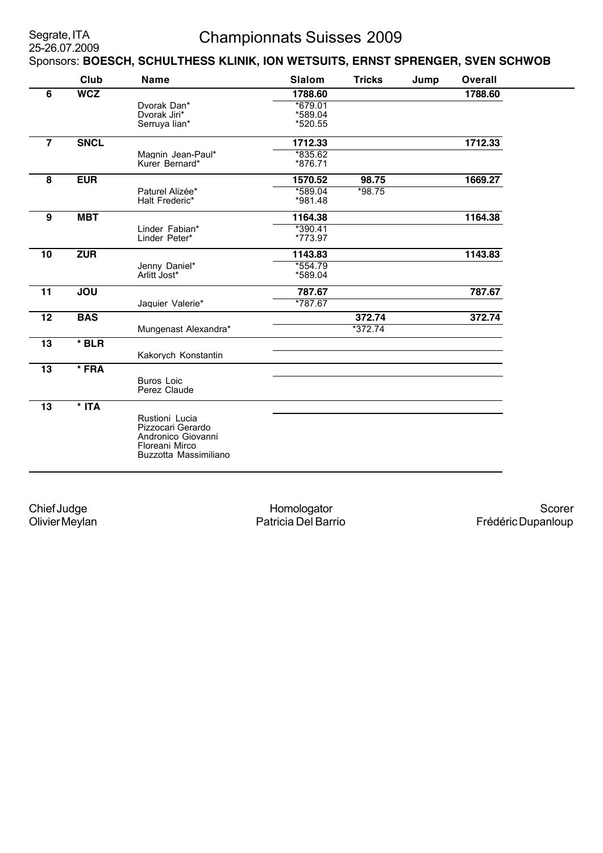# Championnats Suisses 2009

Sponsors: **BOESCH, SCHULTHESS KLINIK, ION WETSUITS, ERNST SPRENGER, SVEN SCHWOB**

|                 | Club        | <b>Name</b>                             | <b>Slalom</b> | <b>Tricks</b> | Jump | <b>Overall</b> |
|-----------------|-------------|-----------------------------------------|---------------|---------------|------|----------------|
| 6               | <b>WCZ</b>  |                                         | 1788.60       |               |      | 1788.60        |
|                 |             | Dvorak Dan*                             | *679.01       |               |      |                |
|                 |             | Dvorak Jiri*                            | *589.04       |               |      |                |
|                 |             | Serruya lian*                           | *520.55       |               |      |                |
| $\overline{7}$  | <b>SNCL</b> |                                         | 1712.33       |               |      | 1712.33        |
|                 |             | Magnin Jean-Paul*                       | *835.62       |               |      |                |
|                 |             | Kurer Bernard*                          | *876.71       |               |      |                |
| 8               | <b>EUR</b>  |                                         | 1570.52       | 98.75         |      | 1669.27        |
|                 |             | Paturel Alizée*                         | *589.04       | $*98.75$      |      |                |
|                 |             | Halt Frederic*                          | *981.48       |               |      |                |
| 9               | <b>MBT</b>  |                                         | 1164.38       |               |      | 1164.38        |
|                 |             | Linder Fabian*                          | *390.41       |               |      |                |
|                 |             | Linder Peter*                           | *773.97       |               |      |                |
| 10              | <b>ZUR</b>  |                                         | 1143.83       |               |      | 1143.83        |
|                 |             | Jenny Daniel*                           | $*554.79$     |               |      |                |
|                 |             | Arlitt Jost*                            | *589.04       |               |      |                |
| 11              | <b>JOU</b>  |                                         | 787.67        |               |      | 787.67         |
|                 |             | Jaquier Valerie*                        | *787.67       |               |      |                |
| $\overline{12}$ | <b>BAS</b>  |                                         |               | 372.74        |      | 372.74         |
|                 |             | Mungenast Alexandra*                    |               | $*372.74$     |      |                |
| 13              | $*$ BLR     |                                         |               |               |      |                |
|                 |             | Kakorych Konstantin                     |               |               |      |                |
| 13              | * FRA       |                                         |               |               |      |                |
|                 |             | <b>Buros Loic</b>                       |               |               |      |                |
|                 |             | Perez Claude                            |               |               |      |                |
| 13              | $*$ ITA     |                                         |               |               |      |                |
|                 |             | Rustioni Lucia                          |               |               |      |                |
|                 |             | Pizzocari Gerardo                       |               |               |      |                |
|                 |             | Andronico Giovanni                      |               |               |      |                |
|                 |             | Floreani Mirco<br>Buzzotta Massimiliano |               |               |      |                |
|                 |             |                                         |               |               |      |                |
|                 |             |                                         |               |               |      |                |

Chief Judge Olivier Meylan

Homologator Patricia Del Barrio